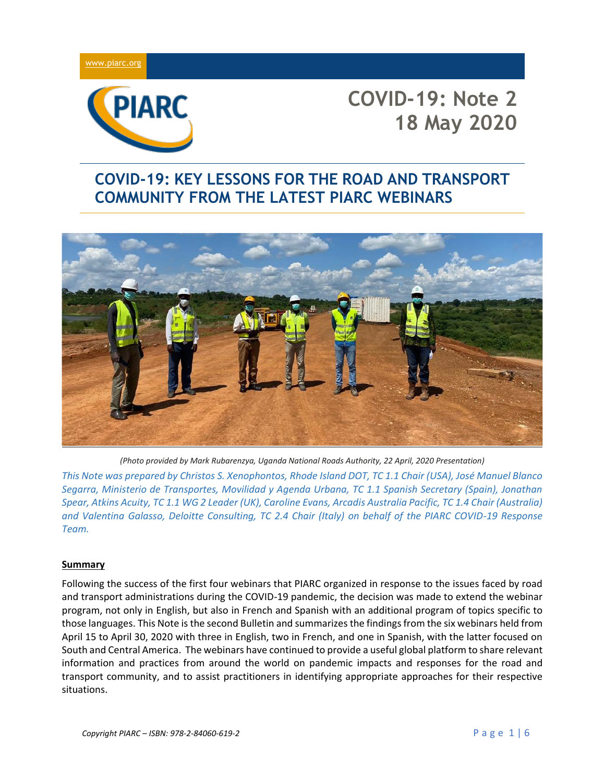



# **COVID-19: KEY LESSONS FOR THE ROAD AND TRANSPORT COMMUNITY FROM THE LATEST PIARC WEBINARS**



*(Photo provided by Mark Rubarenzya, Uganda National Roads Authority, 22 April, 2020 Presentation)*

*This Note was prepared by Christos S. Xenophontos, Rhode Island DOT, TC 1.1 Chair (USA), José Manuel Blanco Segarra, Ministerio de Transportes, Movilidad y Agenda Urbana, TC 1.1 Spanish Secretary (Spain), Jonathan Spear, Atkins Acuity, TC 1.1 WG 2 Leader (UK), Caroline Evans, Arcadis Australia Pacific, TC 1.4 Chair (Australia) and Valentina Galasso, Deloitte Consulting, TC 2.4 Chair (Italy) on behalf of the PIARC COVID-19 Response Team.*

#### **Summary**

Following the success of the first four webinars that PIARC organized in response to the issues faced by road and transport administrations during the COVID-19 pandemic, the decision was made to extend the webinar program, not only in English, but also in French and Spanish with an additional program of topics specific to those languages. This Note is the second Bulletin and summarizes the findings from the six webinars held from April 15 to April 30, 2020 with three in English, two in French, and one in Spanish, with the latter focused on South and Central America. The webinars have continued to provide a useful global platform to share relevant information and practices from around the world on pandemic impacts and responses for the road and transport community, and to assist practitioners in identifying appropriate approaches for their respective situations.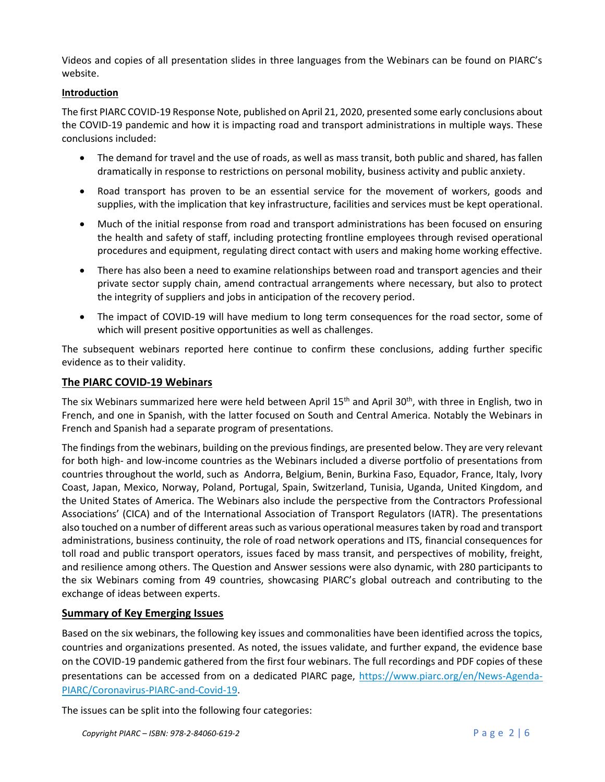Videos and copies of all presentation slides in three languages from the Webinars can be found on PIARC's website.

### **Introduction**

The first PIARC COVID-19 Response Note, published on April 21, 2020, presented some early conclusions about the COVID-19 pandemic and how it is impacting road and transport administrations in multiple ways. These conclusions included:

- The demand for travel and the use of roads, as well as mass transit, both public and shared, has fallen dramatically in response to restrictions on personal mobility, business activity and public anxiety.
- Road transport has proven to be an essential service for the movement of workers, goods and supplies, with the implication that key infrastructure, facilities and services must be kept operational.
- Much of the initial response from road and transport administrations has been focused on ensuring the health and safety of staff, including protecting frontline employees through revised operational procedures and equipment, regulating direct contact with users and making home working effective.
- There has also been a need to examine relationships between road and transport agencies and their private sector supply chain, amend contractual arrangements where necessary, but also to protect the integrity of suppliers and jobs in anticipation of the recovery period.
- The impact of COVID-19 will have medium to long term consequences for the road sector, some of which will present positive opportunities as well as challenges.

The subsequent webinars reported here continue to confirm these conclusions, adding further specific evidence as to their validity.

## **The PIARC COVID-19 Webinars**

The six Webinars summarized here were held between April 15<sup>th</sup> and April 30<sup>th</sup>, with three in English, two in French, and one in Spanish, with the latter focused on South and Central America. Notably the Webinars in French and Spanish had a separate program of presentations.

The findings from the webinars, building on the previous findings, are presented below. They are very relevant for both high- and low-income countries as the Webinars included a diverse portfolio of presentations from countries throughout the world, such as Andorra, Belgium, Benin, Burkina Faso, Equador, France, Italy, Ivory Coast, Japan, Mexico, Norway, Poland, Portugal, Spain, Switzerland, Tunisia, Uganda, United Kingdom, and the United States of America. The Webinars also include the perspective from the Contractors Professional Associations' (CICA) and of the International Association of Transport Regulators (IATR). The presentations also touched on a number of different areas such as various operational measures taken by road and transport administrations, business continuity, the role of road network operations and ITS, financial consequences for toll road and public transport operators, issues faced by mass transit, and perspectives of mobility, freight, and resilience among others. The Question and Answer sessions were also dynamic, with 280 participants to the six Webinars coming from 49 countries, showcasing PIARC's global outreach and contributing to the exchange of ideas between experts.

# **Summary of Key Emerging Issues**

Based on the six webinars, the following key issues and commonalities have been identified across the topics, countries and organizations presented. As noted, the issues validate, and further expand, the evidence base on the COVID-19 pandemic gathered from the first four webinars. The full recordings and PDF copies of these presentations can be accessed from on a dedicated PIARC page, [https://www.piarc.org/en/News-Agenda-](https://nam02.safelinks.protection.outlook.com/?url=https%3A%2F%2Fwww.piarc.org%2Fen%2FNews-Agenda-PIARC%2FCoronavirus-PIARC-and-Covid-19&data=02%7C01%7CCaroline.Evans%40arcadis.com%7Cbd9a8d566ad1475179a508d7d4a4673d%7C7f90057d3ea046feb07ce0568627081b%7C1%7C0%7C637211674882818069&sdata=0Xg8Ep5vPIqjNIiVtDOboIHWZDAsKqHtjdAazknqydI%3D&reserved=0)[PIARC/Coronavirus-PIARC-and-Covid-19.](https://nam02.safelinks.protection.outlook.com/?url=https%3A%2F%2Fwww.piarc.org%2Fen%2FNews-Agenda-PIARC%2FCoronavirus-PIARC-and-Covid-19&data=02%7C01%7CCaroline.Evans%40arcadis.com%7Cbd9a8d566ad1475179a508d7d4a4673d%7C7f90057d3ea046feb07ce0568627081b%7C1%7C0%7C637211674882818069&sdata=0Xg8Ep5vPIqjNIiVtDOboIHWZDAsKqHtjdAazknqydI%3D&reserved=0)

The issues can be split into the following four categories: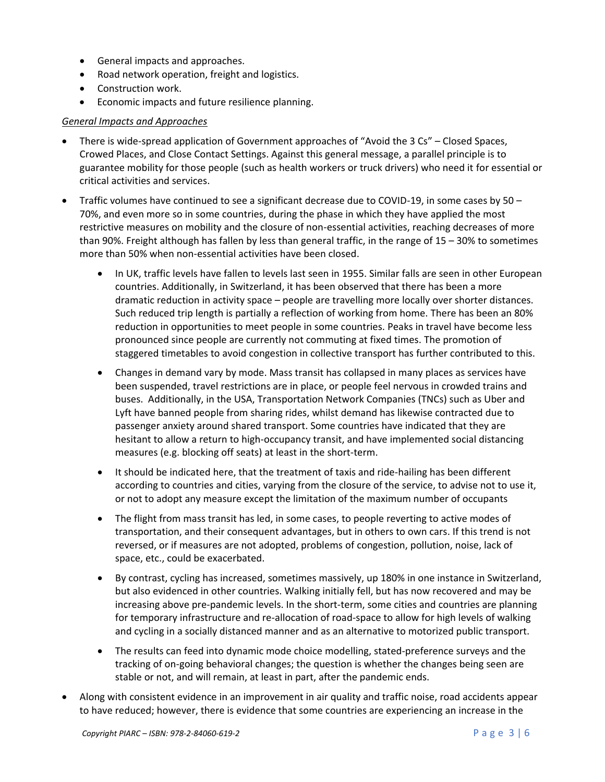- General impacts and approaches.
- Road network operation, freight and logistics.
- Construction work.
- Economic impacts and future resilience planning.

#### *General Impacts and Approaches*

- There is wide-spread application of Government approaches of "Avoid the 3 Cs" Closed Spaces, Crowed Places, and Close Contact Settings. Against this general message, a parallel principle is to guarantee mobility for those people (such as health workers or truck drivers) who need it for essential or critical activities and services.
- Traffic volumes have continued to see a significant decrease due to COVID-19, in some cases by 50 70%, and even more so in some countries, during the phase in which they have applied the most restrictive measures on mobility and the closure of non-essential activities, reaching decreases of more than 90%. Freight although has fallen by less than general traffic, in the range of 15 – 30% to sometimes more than 50% when non-essential activities have been closed.
	- In UK, traffic levels have fallen to levels last seen in 1955. Similar falls are seen in other European countries. Additionally, in Switzerland, it has been observed that there has been a more dramatic reduction in activity space – people are travelling more locally over shorter distances. Such reduced trip length is partially a reflection of working from home. There has been an 80% reduction in opportunities to meet people in some countries. Peaks in travel have become less pronounced since people are currently not commuting at fixed times. The promotion of staggered timetables to avoid congestion in collective transport has further contributed to this.
	- Changes in demand vary by mode. Mass transit has collapsed in many places as services have been suspended, travel restrictions are in place, or people feel nervous in crowded trains and buses. Additionally, in the USA, Transportation Network Companies (TNCs) such as Uber and Lyft have banned people from sharing rides, whilst demand has likewise contracted due to passenger anxiety around shared transport. Some countries have indicated that they are hesitant to allow a return to high-occupancy transit, and have implemented social distancing measures (e.g. blocking off seats) at least in the short-term.
	- It should be indicated here, that the treatment of taxis and ride-hailing has been different according to countries and cities, varying from the closure of the service, to advise not to use it, or not to adopt any measure except the limitation of the maximum number of occupants
	- The flight from mass transit has led, in some cases, to people reverting to active modes of transportation, and their consequent advantages, but in others to own cars. If this trend is not reversed, or if measures are not adopted, problems of congestion, pollution, noise, lack of space, etc., could be exacerbated.
	- By contrast, cycling has increased, sometimes massively, up 180% in one instance in Switzerland, but also evidenced in other countries. Walking initially fell, but has now recovered and may be increasing above pre-pandemic levels. In the short-term, some cities and countries are planning for temporary infrastructure and re-allocation of road-space to allow for high levels of walking and cycling in a socially distanced manner and as an alternative to motorized public transport.
	- The results can feed into dynamic mode choice modelling, stated-preference surveys and the tracking of on-going behavioral changes; the question is whether the changes being seen are stable or not, and will remain, at least in part, after the pandemic ends.
- Along with consistent evidence in an improvement in air quality and traffic noise, road accidents appear to have reduced; however, there is evidence that some countries are experiencing an increase in the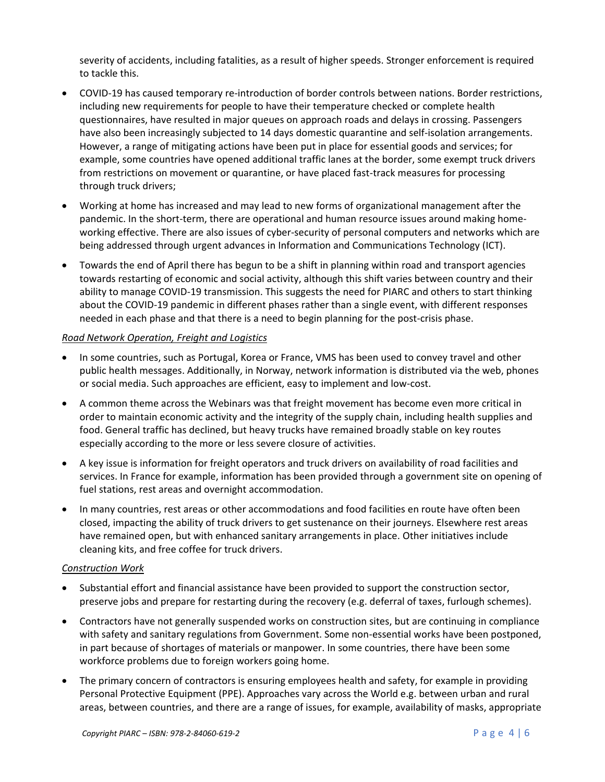severity of accidents, including fatalities, as a result of higher speeds. Stronger enforcement is required to tackle this.

- COVID-19 has caused temporary re-introduction of border controls between nations. Border restrictions, including new requirements for people to have their temperature checked or complete health questionnaires, have resulted in major queues on approach roads and delays in crossing. Passengers have also been increasingly subjected to 14 days domestic quarantine and self-isolation arrangements. However, a range of mitigating actions have been put in place for essential goods and services; for example, some countries have opened additional traffic lanes at the border, some exempt truck drivers from restrictions on movement or quarantine, or have placed fast-track measures for processing through truck drivers;
- Working at home has increased and may lead to new forms of organizational management after the pandemic. In the short-term, there are operational and human resource issues around making homeworking effective. There are also issues of cyber-security of personal computers and networks which are being addressed through urgent advances in Information and Communications Technology (ICT).
- Towards the end of April there has begun to be a shift in planning within road and transport agencies towards restarting of economic and social activity, although this shift varies between country and their ability to manage COVID-19 transmission. This suggests the need for PIARC and others to start thinking about the COVID-19 pandemic in different phases rather than a single event, with different responses needed in each phase and that there is a need to begin planning for the post-crisis phase.

#### *Road Network Operation, Freight and Logistics*

- In some countries, such as Portugal, Korea or France, VMS has been used to convey travel and other public health messages. Additionally, in Norway, network information is distributed via the web, phones or social media. Such approaches are efficient, easy to implement and low-cost.
- A common theme across the Webinars was that freight movement has become even more critical in order to maintain economic activity and the integrity of the supply chain, including health supplies and food. General traffic has declined, but heavy trucks have remained broadly stable on key routes especially according to the more or less severe closure of activities.
- A key issue is information for freight operators and truck drivers on availability of road facilities and services. In France for example, information has been provided through a government site on opening of fuel stations, rest areas and overnight accommodation.
- In many countries, rest areas or other accommodations and food facilities en route have often been closed, impacting the ability of truck drivers to get sustenance on their journeys. Elsewhere rest areas have remained open, but with enhanced sanitary arrangements in place. Other initiatives include cleaning kits, and free coffee for truck drivers.

#### *Construction Work*

- Substantial effort and financial assistance have been provided to support the construction sector, preserve jobs and prepare for restarting during the recovery (e.g. deferral of taxes, furlough schemes).
- Contractors have not generally suspended works on construction sites, but are continuing in compliance with safety and sanitary regulations from Government. Some non-essential works have been postponed, in part because of shortages of materials or manpower. In some countries, there have been some workforce problems due to foreign workers going home.
- The primary concern of contractors is ensuring employees health and safety, for example in providing Personal Protective Equipment (PPE). Approaches vary across the World e.g. between urban and rural areas, between countries, and there are a range of issues, for example, availability of masks, appropriate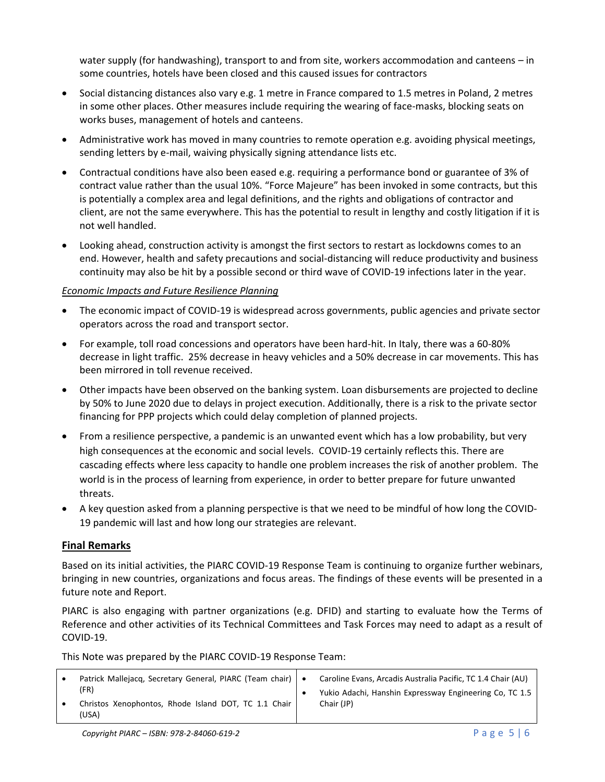water supply (for handwashing), transport to and from site, workers accommodation and canteens – in some countries, hotels have been closed and this caused issues for contractors

- Social distancing distances also vary e.g. 1 metre in France compared to 1.5 metres in Poland, 2 metres in some other places. Other measures include requiring the wearing of face-masks, blocking seats on works buses, management of hotels and canteens.
- Administrative work has moved in many countries to remote operation e.g. avoiding physical meetings, sending letters by e-mail, waiving physically signing attendance lists etc.
- Contractual conditions have also been eased e.g. requiring a performance bond or guarantee of 3% of contract value rather than the usual 10%. "Force Majeure" has been invoked in some contracts, but this is potentially a complex area and legal definitions, and the rights and obligations of contractor and client, are not the same everywhere. This has the potential to result in lengthy and costly litigation if it is not well handled.
- Looking ahead, construction activity is amongst the first sectors to restart as lockdowns comes to an end. However, health and safety precautions and social-distancing will reduce productivity and business continuity may also be hit by a possible second or third wave of COVID-19 infections later in the year.

#### *Economic Impacts and Future Resilience Planning*

- The economic impact of COVID-19 is widespread across governments, public agencies and private sector operators across the road and transport sector.
- For example, toll road concessions and operators have been hard-hit. In Italy, there was a 60-80% decrease in light traffic. 25% decrease in heavy vehicles and a 50% decrease in car movements. This has been mirrored in toll revenue received.
- Other impacts have been observed on the banking system. Loan disbursements are projected to decline by 50% to June 2020 due to delays in project execution. Additionally, there is a risk to the private sector financing for PPP projects which could delay completion of planned projects.
- From a resilience perspective, a pandemic is an unwanted event which has a low probability, but very high consequences at the economic and social levels. COVID-19 certainly reflects this. There are cascading effects where less capacity to handle one problem increases the risk of another problem. The world is in the process of learning from experience, in order to better prepare for future unwanted threats.
- A key question asked from a planning perspective is that we need to be mindful of how long the COVID-19 pandemic will last and how long our strategies are relevant.

# **Final Remarks**

Based on its initial activities, the PIARC COVID-19 Response Team is continuing to organize further webinars, bringing in new countries, organizations and focus areas. The findings of these events will be presented in a future note and Report.

PIARC is also engaging with partner organizations (e.g. DFID) and starting to evaluate how the Terms of Reference and other activities of its Technical Committees and Task Forces may need to adapt as a result of COVID-19.

This Note was prepared by the PIARC COVID-19 Response Team:

| Patrick Mallejacq, Secretary General, PIARC (Team chair)              | Caroline Evans, Arcadis Australia Pacific, TC 1.4 Chair (AU)          |
|-----------------------------------------------------------------------|-----------------------------------------------------------------------|
| (FR)<br>Christos Xenophontos, Rhode Island DOT, TC 1.1 Chair<br>(USA) | Yukio Adachi, Hanshin Expressway Engineering Co, TC 1.5<br>Chair (JP) |